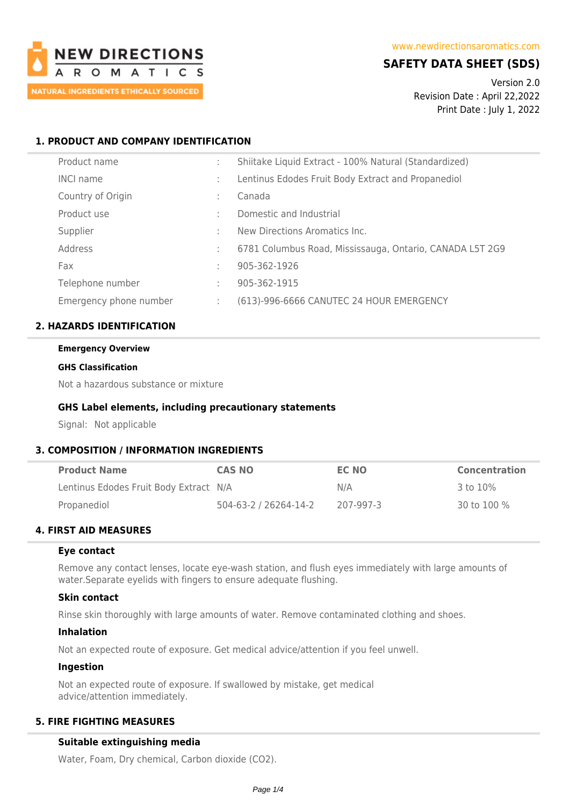

# **SAFETY DATA SHEET (SDS)**

Version 2.0 Revision Date : April 22,2022 Print Date : July 1, 2022

## **1. PRODUCT AND COMPANY IDENTIFICATION**

| Product name           |        | Shiitake Liquid Extract - 100% Natural (Standardized)    |
|------------------------|--------|----------------------------------------------------------|
| <b>INCI name</b>       |        | Lentinus Edodes Fruit Body Extract and Propanediol       |
| Country of Origin      | ٠.     | Canada                                                   |
| Product use            |        | Domestic and Industrial                                  |
| Supplier               | $\sim$ | New Directions Aromatics Inc.                            |
| Address                |        | 6781 Columbus Road, Mississauga, Ontario, CANADA L5T 2G9 |
| Fax                    |        | 905-362-1926                                             |
| Telephone number       |        | 905-362-1915                                             |
| Emergency phone number |        | (613)-996-6666 CANUTEC 24 HOUR EMERGENCY                 |

## **2. HAZARDS IDENTIFICATION**

#### **Emergency Overview**

#### **GHS Classification**

Not a hazardous substance or mixture

## **GHS Label elements, including precautionary statements**

Signal: Not applicable

## **3. COMPOSITION / INFORMATION INGREDIENTS**

| <b>Product Name</b>                    | <b>CAS NO</b>         | EC NO     | <b>Concentration</b> |
|----------------------------------------|-----------------------|-----------|----------------------|
| Lentinus Edodes Fruit Body Extract N/A |                       | N/A       | 3 to 10%             |
| Propanediol                            | 504-63-2 / 26264-14-2 | 207-997-3 | 30 to 100 %          |

## **4. FIRST AID MEASURES**

## **Eye contact**

Remove any contact lenses, locate eye-wash station, and flush eyes immediately with large amounts of water.Separate eyelids with fingers to ensure adequate flushing.

## **Skin contact**

Rinse skin thoroughly with large amounts of water. Remove contaminated clothing and shoes.

#### **Inhalation**

Not an expected route of exposure. Get medical advice/attention if you feel unwell.

## **Ingestion**

Not an expected route of exposure. If swallowed by mistake, get medical advice/attention immediately.

## **5. FIRE FIGHTING MEASURES**

## **Suitable extinguishing media**

Water, Foam, Dry chemical, Carbon dioxide (CO2).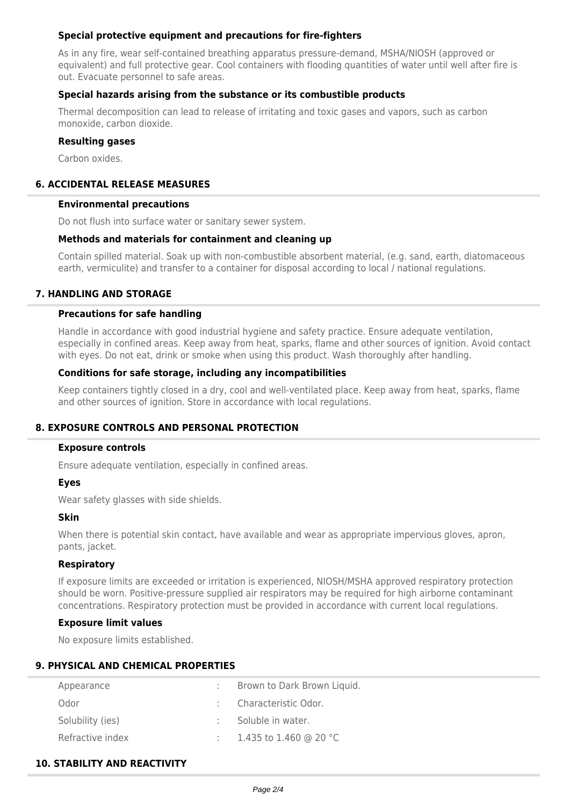## **Special protective equipment and precautions for fire-fighters**

As in any fire, wear self-contained breathing apparatus pressure-demand, MSHA/NIOSH (approved or equivalent) and full protective gear. Cool containers with flooding quantities of water until well after fire is out. Evacuate personnel to safe areas.

## **Special hazards arising from the substance or its combustible products**

Thermal decomposition can lead to release of irritating and toxic gases and vapors, such as carbon monoxide, carbon dioxide.

## **Resulting gases**

Carbon oxides.

## **6. ACCIDENTAL RELEASE MEASURES**

### **Environmental precautions**

Do not flush into surface water or sanitary sewer system.

## **Methods and materials for containment and cleaning up**

Contain spilled material. Soak up with non-combustible absorbent material, (e.g. sand, earth, diatomaceous earth, vermiculite) and transfer to a container for disposal according to local / national regulations.

## **7. HANDLING AND STORAGE**

## **Precautions for safe handling**

Handle in accordance with good industrial hygiene and safety practice. Ensure adequate ventilation, especially in confined areas. Keep away from heat, sparks, flame and other sources of ignition. Avoid contact with eyes. Do not eat, drink or smoke when using this product. Wash thoroughly after handling.

## **Conditions for safe storage, including any incompatibilities**

Keep containers tightly closed in a dry, cool and well-ventilated place. Keep away from heat, sparks, flame and other sources of ignition. Store in accordance with local regulations.

## **8. EXPOSURE CONTROLS AND PERSONAL PROTECTION**

#### **Exposure controls**

Ensure adequate ventilation, especially in confined areas.

## **Eyes**

Wear safety glasses with side shields.

### **Skin**

When there is potential skin contact, have available and wear as appropriate impervious gloves, apron, pants, jacket.

## **Respiratory**

If exposure limits are exceeded or irritation is experienced, NIOSH/MSHA approved respiratory protection should be worn. Positive-pressure supplied air respirators may be required for high airborne contaminant concentrations. Respiratory protection must be provided in accordance with current local regulations.

## **Exposure limit values**

No exposure limits established.

## **9. PHYSICAL AND CHEMICAL PROPERTIES**

| Appearance       | Brown to Dark Brown Liquid. |
|------------------|-----------------------------|
| Odor             | Characteristic Odor.        |
| Solubility (ies) | Soluble in water.           |
| Refractive index | 1.435 to 1.460 @ 20 °C      |

## **10. STABILITY AND REACTIVITY**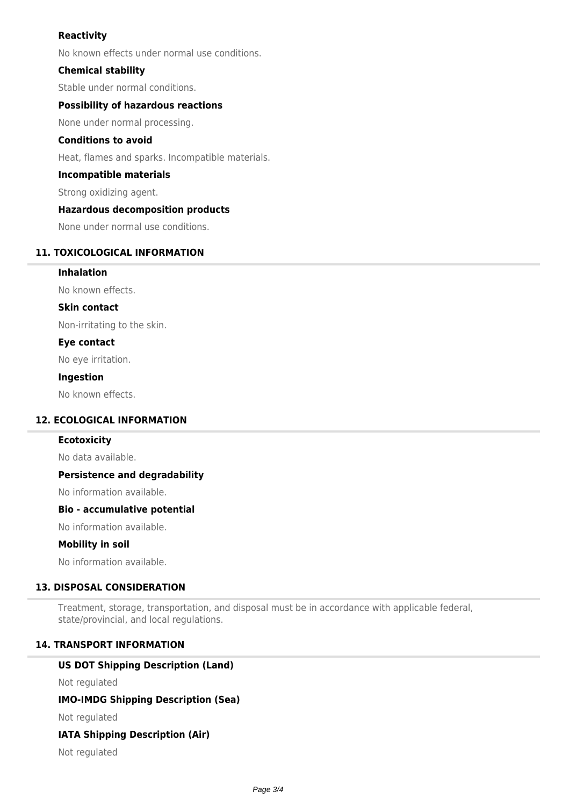## **Reactivity**

No known effects under normal use conditions.

## **Chemical stability**

Stable under normal conditions.

## **Possibility of hazardous reactions**

None under normal processing.

### **Conditions to avoid**

Heat, flames and sparks. Incompatible materials.

### **Incompatible materials**

Strong oxidizing agent.

## **Hazardous decomposition products**

None under normal use conditions.

### **11. TOXICOLOGICAL INFORMATION**

**Inhalation**

No known effects.

**Skin contact**

Non-irritating to the skin.

## **Eye contact**

No eye irritation.

#### **Ingestion**

No known effects.

## **12. ECOLOGICAL INFORMATION**

#### **Ecotoxicity**

No data available.

### **Persistence and degradability**

No information available.

### **Bio - accumulative potential**

No information available.

## **Mobility in soil**

No information available.

## **13. DISPOSAL CONSIDERATION**

Treatment, storage, transportation, and disposal must be in accordance with applicable federal, state/provincial, and local regulations.

## **14. TRANSPORT INFORMATION**

## **US DOT Shipping Description (Land)**

Not regulated

## **IMO-IMDG Shipping Description (Sea)**

Not regulated

## **IATA Shipping Description (Air)**

Not regulated